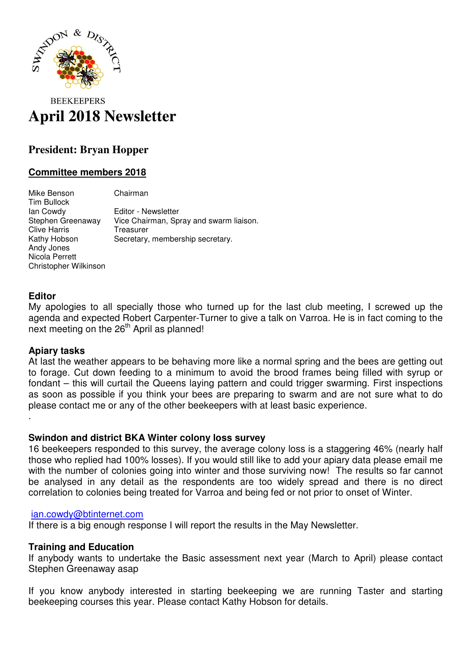

# **BEEKEEPERS April 2018 Newsletter**

# **President: Bryan Hopper**

# **Committee members 2018**

Mike Benson Chairman Tim Bullock Ian Cowdy Editor - Newsletter Stephen Greenaway Vice Chairman, Spray and swarm liaison. Clive Harris Treasurer Kathy Hobson Secretary, membership secretary. Andy Jones Nicola Perrett Christopher Wilkinson

#### **Editor**

.

My apologies to all specially those who turned up for the last club meeting, I screwed up the agenda and expected Robert Carpenter-Turner to give a talk on Varroa. He is in fact coming to the next meeting on the 26<sup>th</sup> April as planned!

#### **Apiary tasks**

At last the weather appears to be behaving more like a normal spring and the bees are getting out to forage. Cut down feeding to a minimum to avoid the brood frames being filled with syrup or fondant – this will curtail the Queens laying pattern and could trigger swarming. First inspections as soon as possible if you think your bees are preparing to swarm and are not sure what to do please contact me or any of the other beekeepers with at least basic experience.

#### **Swindon and district BKA Winter colony loss survey**

16 beekeepers responded to this survey, the average colony loss is a staggering 46% (nearly half those who replied had 100% losses). If you would still like to add your apiary data please email me with the number of colonies going into winter and those surviving now! The results so far cannot be analysed in any detail as the respondents are too widely spread and there is no direct correlation to colonies being treated for Varroa and being fed or not prior to onset of Winter.

#### ian.cowdy@btinternet.com

If there is a big enough response I will report the results in the May Newsletter.

## **Training and Education**

If anybody wants to undertake the Basic assessment next year (March to April) please contact Stephen Greenaway asap

If you know anybody interested in starting beekeeping we are running Taster and starting beekeeping courses this year. Please contact Kathy Hobson for details.